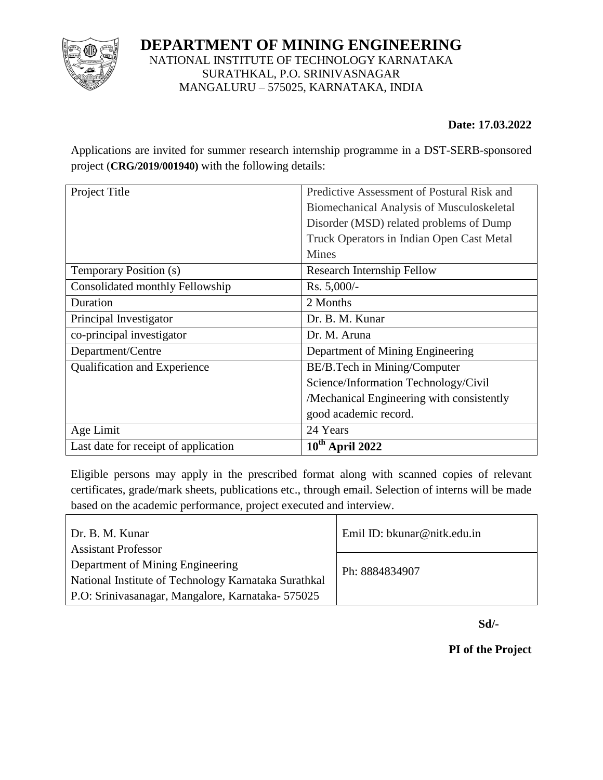

## **DEPARTMENT OF MINING ENGINEERING** NATIONAL INSTITUTE OF TECHNOLOGY KARNATAKA SURATHKAL, P.O. SRINIVASNAGAR MANGALURU – 575025, KARNATAKA, INDIA

## **Date: 17.03.2022**

Applications are invited for summer research internship programme in a DST-SERB-sponsored project (**CRG/2019/001940)** with the following details:

| Project Title                        | Predictive Assessment of Postural Risk and |
|--------------------------------------|--------------------------------------------|
|                                      | Biomechanical Analysis of Musculoskeletal  |
|                                      | Disorder (MSD) related problems of Dump    |
|                                      | Truck Operators in Indian Open Cast Metal  |
|                                      | <b>Mines</b>                               |
| Temporary Position (s)               | <b>Research Internship Fellow</b>          |
| Consolidated monthly Fellowship      | $Rs. 5,000/-$                              |
| Duration                             | 2 Months                                   |
| Principal Investigator               | Dr. B. M. Kunar                            |
| co-principal investigator            | Dr. M. Aruna                               |
| Department/Centre                    | Department of Mining Engineering           |
| Qualification and Experience         | BE/B.Tech in Mining/Computer               |
|                                      | Science/Information Technology/Civil       |
|                                      | /Mechanical Engineering with consistently  |
|                                      | good academic record.                      |
| Age Limit                            | 24 Years                                   |
| Last date for receipt of application | $10^{th}$ April 2022                       |

Eligible persons may apply in the prescribed format along with scanned copies of relevant certificates, grade/mark sheets, publications etc., through email. Selection of interns will be made based on the academic performance, project executed and interview.

| Dr. B. M. Kunar                                      | Emil ID: bkunar@nitk.edu.in |  |
|------------------------------------------------------|-----------------------------|--|
| <b>Assistant Professor</b>                           |                             |  |
| Department of Mining Engineering                     | Ph: 8884834907              |  |
| National Institute of Technology Karnataka Surathkal |                             |  |
| P.O: Srinivasanagar, Mangalore, Karnataka-575025     |                             |  |

 **Sd/-**

**PI of the Project**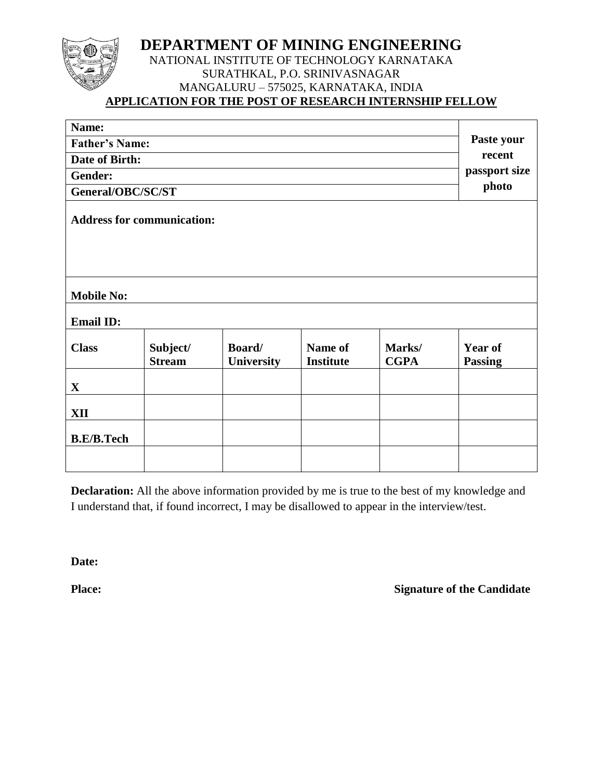## **DEPARTMENT OF MINING ENGINEERING**

## NATIONAL INSTITUTE OF TECHNOLOGY KARNATAKA SURATHKAL, P.O. SRINIVASNAGAR MANGALURU – 575025, KARNATAKA, INDIA **APPLICATION FOR THE POST OF RESEARCH INTERNSHIP FELLOW**

| Name:                                 |                                   |                      |                             |                       |                                  |
|---------------------------------------|-----------------------------------|----------------------|-----------------------------|-----------------------|----------------------------------|
| <b>Father's Name:</b>                 |                                   |                      |                             |                       | Paste your                       |
| Date of Birth:                        |                                   |                      |                             |                       | recent                           |
| Gender:                               |                                   |                      |                             |                       | passport size                    |
| General/OBC/SC/ST                     |                                   |                      |                             |                       | photo                            |
|                                       | <b>Address for communication:</b> |                      |                             |                       |                                  |
| <b>Mobile No:</b><br><b>Email ID:</b> |                                   |                      |                             |                       |                                  |
| <b>Class</b>                          | Subject/<br><b>Stream</b>         | Board/<br>University | Name of<br><b>Institute</b> | Marks/<br><b>CGPA</b> | <b>Year of</b><br><b>Passing</b> |
| $\mathbf{X}$                          |                                   |                      |                             |                       |                                  |
| XII                                   |                                   |                      |                             |                       |                                  |
| <b>B.E/B.Tech</b>                     |                                   |                      |                             |                       |                                  |
|                                       |                                   |                      |                             |                       |                                  |

**Declaration:** All the above information provided by me is true to the best of my knowledge and I understand that, if found incorrect, I may be disallowed to appear in the interview/test.

**Date:**

**Place:** Signature of the Candidate